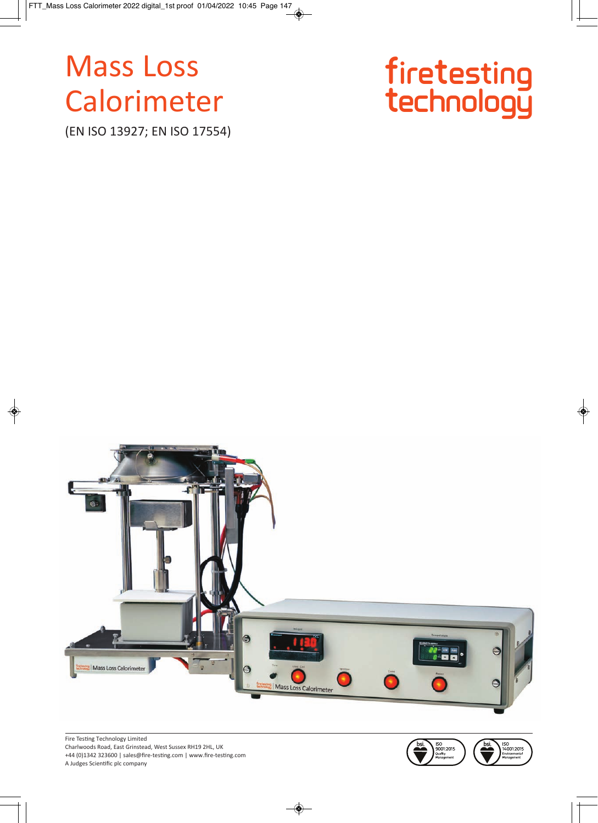# **Mass Loss** Calorimeter

(EN ISO 13927; EN ISO 17554)





Fire Testing Technology Limited Charlwoods Road, East Grinstead, West Sussex RH19 2HL, UK +44 (0)1342 323600 | sales@fire-testing.com | www.fire-testing.com A Judges Scientific plc company

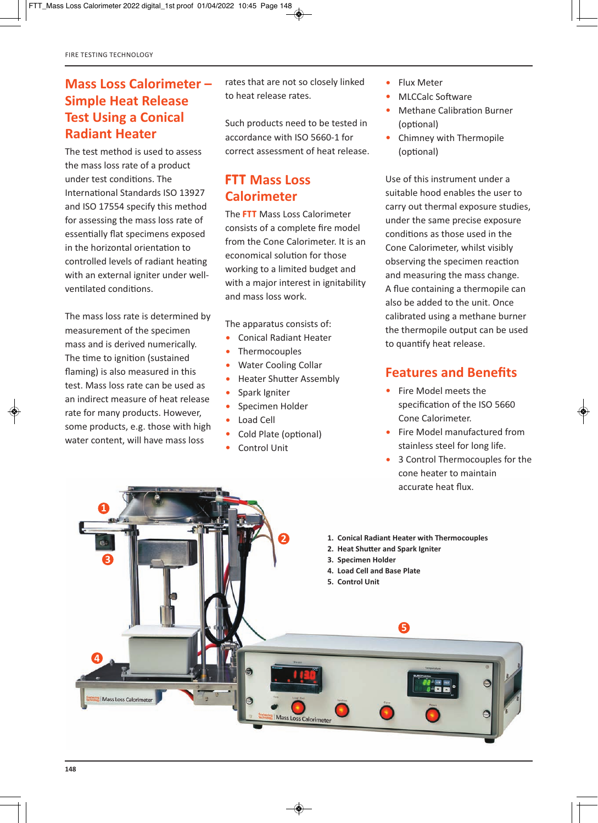## **Mass Loss Calorimeter – Simple Heat Release Test Using a Conical Radiant Heater**

The test method is used to assess the mass loss rate of a product under test conditions. The International Standards ISO 13927 and ISO 17554 specify this method for assessing the mass loss rate of essentially flat specimens exposed in the horizontal orientation to controlled levels of radiant heating with an external igniter under wellventilated conditions.

The mass loss rate is determined by measurement of the specimen mass and is derived numerically. The time to ignition (sustained flaming) is also measured in this test. Mass loss rate can be used as an indirect measure of heat release rate for many products. However, some products, e.g. those with high water content, will have mass loss

rates that are not so closely linked to heat release rates.

Such products need to be tested in accordance with ISO 5660-1 for correct assessment of heat release.

# **FTT Mass Loss Calorimeter**

The **FTT** Mass Loss Calorimeter consists of a complete fire model from the Cone Calorimeter. It is an economical solution for those working to a limited budget and with a major interest in ignitability and mass loss work.

The apparatus consists of:

- Conical Radiant Heater
- Thermocouples
- Water Cooling Collar
- Heater Shutter Assembly
- Spark Igniter
- Specimen Holder
- Load Cell
- Cold Plate (optional)
- Control Unit
- Flux Meter
- MLCCalc Software
- Methane Calibration Burner (optional)
- Chimney with Thermopile (optional)

Use of this instrument under a suitable hood enables the user to carry out thermal exposure studies, under the same precise exposure conditions as those used in the Cone Calorimeter, whilst visibly observing the specimen reaction and measuring the mass change. A flue containing a thermopile can also be added to the unit. Once calibrated using a methane burner the thermopile output can be used to quantify heat release.

## **Features and Benefits**

- Fire Model meets the specification of the ISO 5660 Cone Calorimeter.
- Fire Model manufactured from stainless steel for long life.
- 3 Control Thermocouples for the cone heater to maintain accurate heat flux.

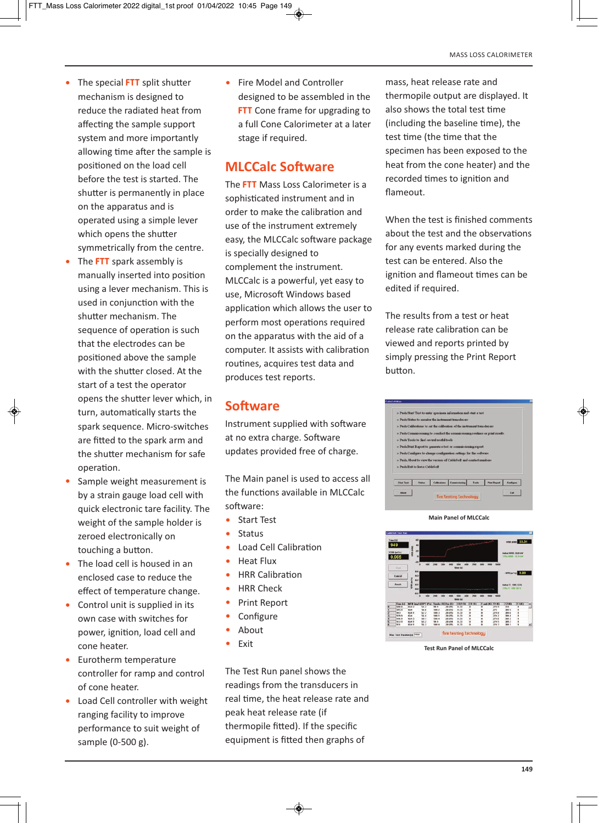- The special **FTT** split shutter mechanism is designed to reduce the radiated heat from affecting the sample support system and more importantly allowing time after the sample is positioned on the load cell before the test is started. The shutter is permanently in place on the apparatus and is operated using a simple lever which opens the shutter symmetrically from the centre.
- The **FTT** spark assembly is manually inserted into position using a lever mechanism. This is used in conjunction with the shutter mechanism. The sequence of operation is such that the electrodes can be positioned above the sample with the shutter closed. At the start of a test the operator opens the shutter lever which, in turn, automatically starts the spark sequence. Micro-switches are fitted to the spark arm and the shutter mechanism for safe operation.
- Sample weight measurement is by a strain gauge load cell with quick electronic tare facility. The weight of the sample holder is zeroed electronically on touching a button.
- The load cell is housed in an enclosed case to reduce the effect of temperature change.
- Control unit is supplied in its own case with switches for power, ignition, load cell and cone heater.
- Eurotherm temperature controller for ramp and control of cone heater.
- Load Cell controller with weight ranging facility to improve performance to suit weight of sample (0-500 g).

• Fire Model and Controller designed to be assembled in the **FTT** Cone frame for upgrading to a full Cone Calorimeter at a later stage if required.

## **MLCCalc Software**

The **FTT** Mass Loss Calorimeter is a sophisticated instrument and in order to make the calibration and use of the instrument extremely easy, the MLCCalc software package is specially designed to complement the instrument. MLCCalc is a powerful, yet easy to use, Microsoft Windows based application which allows the user to perform most operations required on the apparatus with the aid of a computer. It assists with calibration routines, acquires test data and produces test reports.

## **Software**

Instrument supplied with software at no extra charge. Software updates provided free of charge.

The Main panel is used to access all the functions available in MLCCalc software:

- Start Test
- Status
- Load Cell Calibration
- Heat Flux
- HRR Calibration
- HRR Check
- Print Report
- Configure
- About
- Exit

The Test Run panel shows the readings from the transducers in real time, the heat release rate and peak heat release rate (if thermopile fitted). If the specific equipment is fitted then graphs of

mass, heat release rate and thermopile output are displayed. It also shows the total test time (including the baseline time), the test time (the time that the specimen has been exposed to the heat from the cone heater) and the recorded times to ignition and flameout.

When the test is finished comments about the test and the observations for any events marked during the test can be entered. Also the ignition and flameout times can be edited if required.

The results from a test or heat release rate calibration can be viewed and reports printed by simply pressing the Print Report button.



**Main Panel of MLCCalc**



**Test Run Panel of MLCCalc**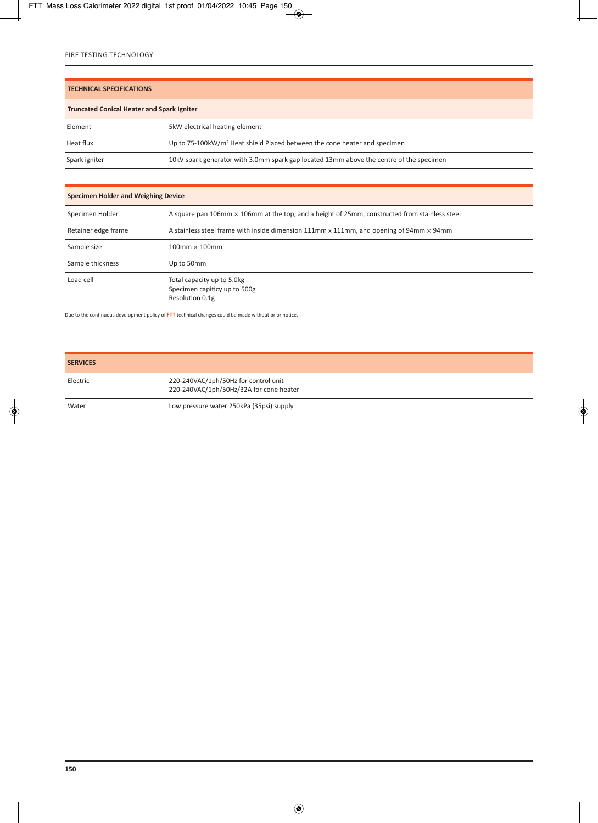#### **TECHNICAL SPECIFICATIONS**

| <b>Truncated Conical Heater and Spark Igniter</b> |                                                                                         |  |
|---------------------------------------------------|-----------------------------------------------------------------------------------------|--|
| Element                                           | 5kW electrical heating element                                                          |  |
| Heat flux                                         | Up to 75-100kW/m <sup>2</sup> Heat shield Placed between the cone heater and specimen   |  |
| Spark igniter                                     | 10kV spark generator with 3.0mm spark gap located 13mm above the centre of the specimen |  |

#### **Specimen Holder and Weighing Device**

| Specimen Holder     | A square pan 106mm $\times$ 106mm at the top, and a height of 25mm, constructed from stainless steel   |
|---------------------|--------------------------------------------------------------------------------------------------------|
| Retainer edge frame | A stainless steel frame with inside dimension $111mm \times 111mm$ , and opening of 94mm $\times$ 94mm |
| Sample size         | $100$ mm $\times$ 100mm                                                                                |
| Sample thickness    | Up to 50mm                                                                                             |
| Load cell           | Total capacity up to 5.0kg<br>Specimen capiticy up to 500g<br>Resolution 0.1g                          |

Due to the continuous development policy of **FTT** technical changes could be made without prior notice.

| <b>SERVICES</b> |                                                                                 |
|-----------------|---------------------------------------------------------------------------------|
| Electric        | 220-240VAC/1ph/50Hz for control unit<br>220-240VAC/1ph/50Hz/32A for cone heater |
| Water           | Low pressure water 250kPa (35psi) supply                                        |